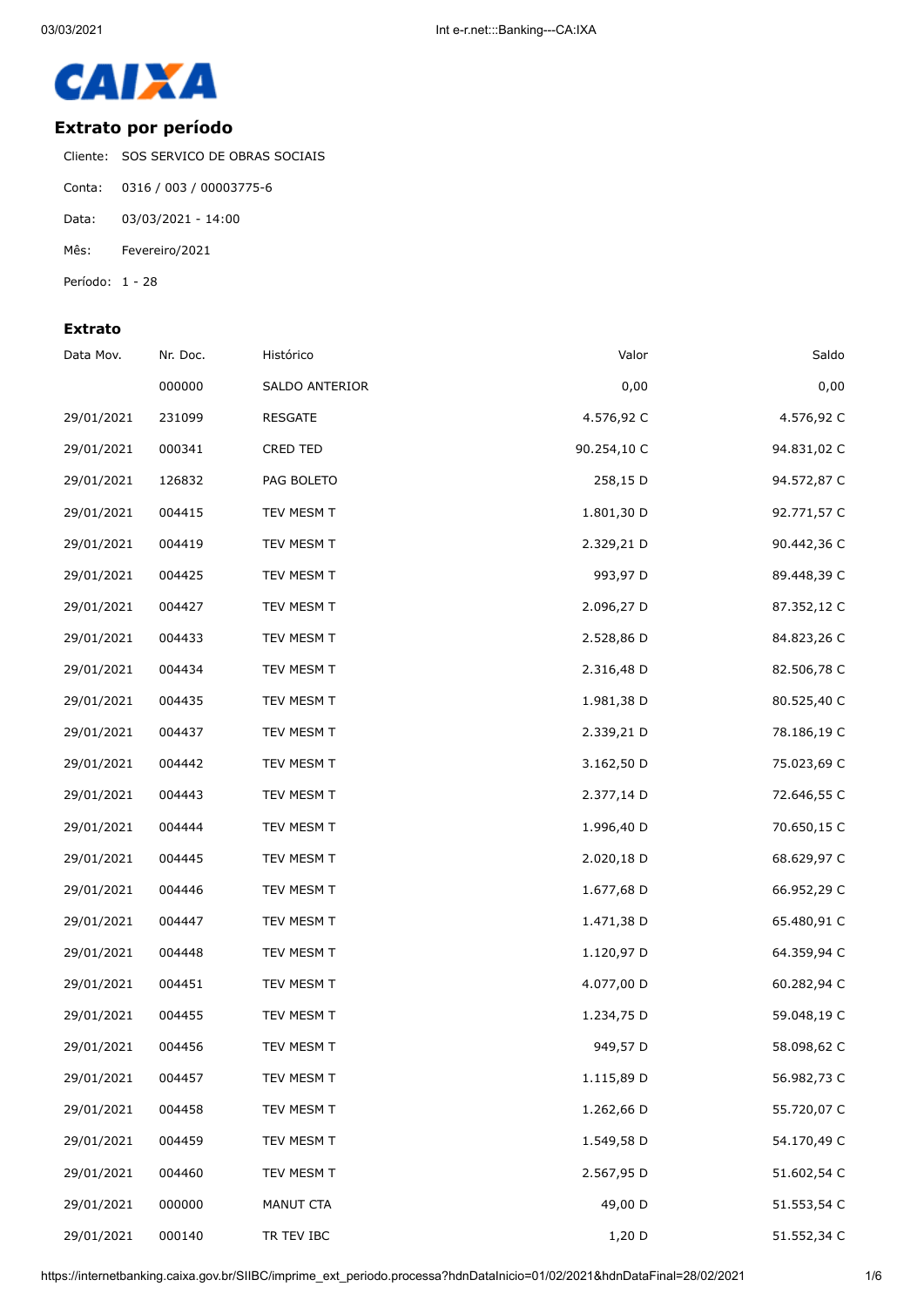

### **Extrato por período**

Cliente: SOS SERVICO DE OBRAS SOCIAIS

- Conta: 0316 / 003 / 00003775-6
- Data: 03/03/2021 14:00
- Mês: Fevereiro/2021
- Período: 1 28

#### **Extrato**

| Data Mov.  | Nr. Doc. | Histórico      | Valor       | Saldo       |
|------------|----------|----------------|-------------|-------------|
|            | 000000   | SALDO ANTERIOR | 0,00        | 0,00        |
| 29/01/2021 | 231099   | <b>RESGATE</b> | 4.576,92 C  | 4.576,92 C  |
| 29/01/2021 | 000341   | CRED TED       | 90.254,10 C | 94.831,02 C |
| 29/01/2021 | 126832   | PAG BOLETO     | 258,15 D    | 94.572,87 C |
| 29/01/2021 | 004415   | TEV MESM T     | 1.801,30 D  | 92.771,57 C |
| 29/01/2021 | 004419   | TEV MESM T     | 2.329,21 D  | 90.442,36 C |
| 29/01/2021 | 004425   | TEV MESM T     | 993,97 D    | 89.448,39 C |
| 29/01/2021 | 004427   | TEV MESM T     | 2.096,27 D  | 87.352,12 C |
| 29/01/2021 | 004433   | TEV MESM T     | 2.528,86 D  | 84.823,26 C |
| 29/01/2021 | 004434   | TEV MESM T     | 2.316,48 D  | 82.506,78 C |
| 29/01/2021 | 004435   | TEV MESM T     | 1.981,38 D  | 80.525,40 C |
| 29/01/2021 | 004437   | TEV MESM T     | 2.339,21 D  | 78.186,19 C |
| 29/01/2021 | 004442   | TEV MESM T     | 3.162,50 D  | 75.023,69 C |
| 29/01/2021 | 004443   | TEV MESM T     | 2.377,14 D  | 72.646,55 C |
| 29/01/2021 | 004444   | TEV MESM T     | 1.996,40 D  | 70.650,15 C |
| 29/01/2021 | 004445   | TEV MESM T     | 2.020,18 D  | 68.629,97 C |
| 29/01/2021 | 004446   | TEV MESM T     | 1.677,68 D  | 66.952,29 C |
| 29/01/2021 | 004447   | TEV MESM T     | 1.471,38 D  | 65.480,91 C |
| 29/01/2021 | 004448   | TEV MESM T     | 1.120,97 D  | 64.359,94 C |
| 29/01/2021 | 004451   | TEV MESM T     | 4.077,00 D  | 60.282,94 C |
| 29/01/2021 | 004455   | TEV MESM T     | 1.234,75 D  | 59.048,19 C |
| 29/01/2021 | 004456   | TEV MESM T     | 949,57 D    | 58.098,62 C |
| 29/01/2021 | 004457   | TEV MESM T     | 1.115,89 D  | 56.982,73 C |
| 29/01/2021 | 004458   | TEV MESM T     | 1.262,66 D  | 55.720,07 C |
| 29/01/2021 | 004459   | TEV MESM T     | 1.549,58 D  | 54.170,49 C |
| 29/01/2021 | 004460   | TEV MESM T     | 2.567,95 D  | 51.602,54 C |
| 29/01/2021 | 000000   | MANUT CTA      | 49,00 D     | 51.553,54 C |
| 29/01/2021 | 000140   | TR TEV IBC     | 1,20 D      | 51.552,34 C |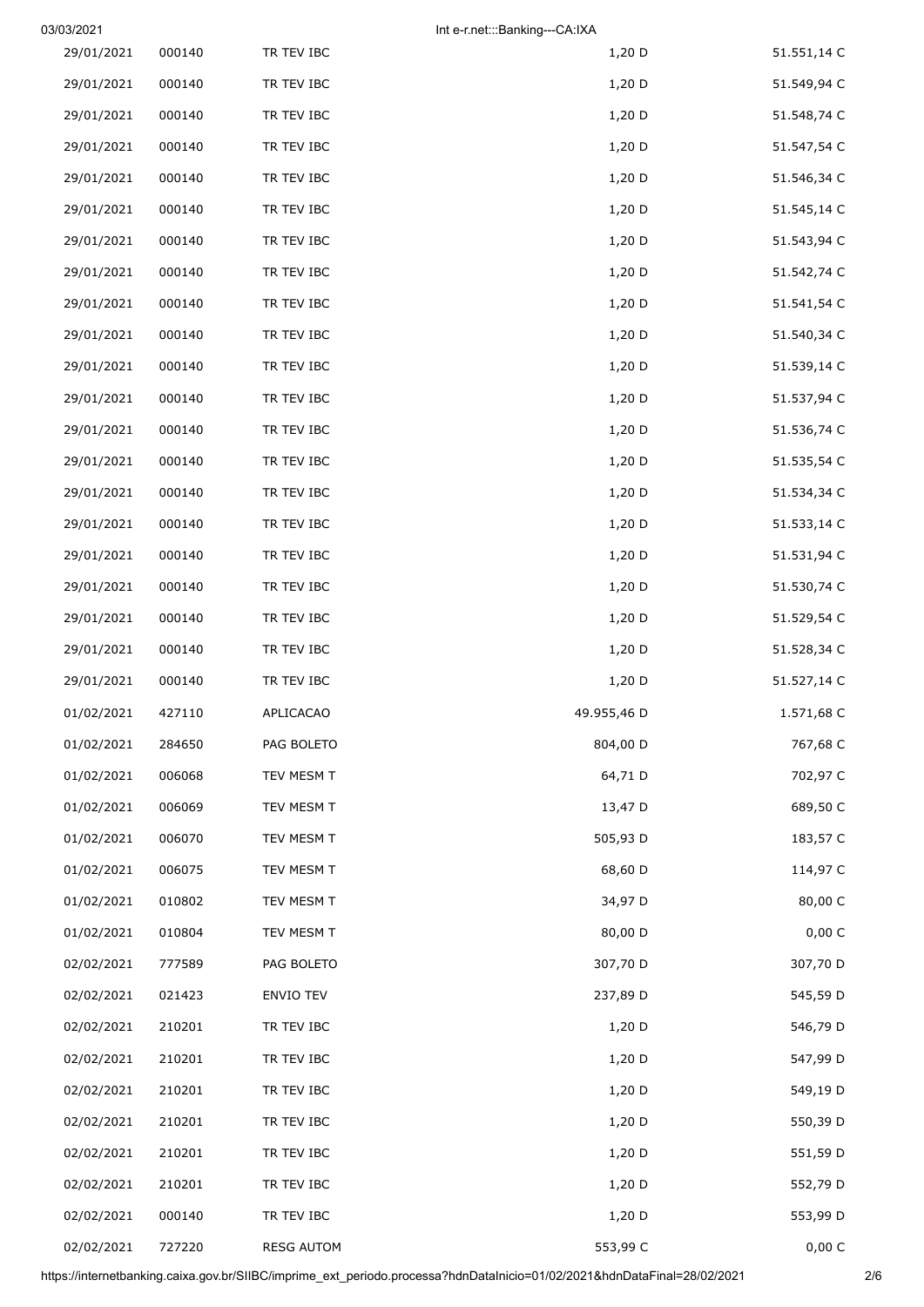| 03/03/2021 |        |                   | Int e-r.net:::Banking---CA:IXA |             |
|------------|--------|-------------------|--------------------------------|-------------|
| 29/01/2021 | 000140 | TR TEV IBC        | $1,20$ D                       | 51.551,14 C |
| 29/01/2021 | 000140 | TR TEV IBC        | 1,20 D                         | 51.549,94 C |
| 29/01/2021 | 000140 | TR TEV IBC        | $1,20$ D                       | 51.548,74 C |
| 29/01/2021 | 000140 | TR TEV IBC        | $1,20$ D                       | 51.547,54 C |
| 29/01/2021 | 000140 | TR TEV IBC        | $1,20$ D                       | 51.546,34 C |
| 29/01/2021 | 000140 | TR TEV IBC        | $1,20$ D                       | 51.545,14 C |
| 29/01/2021 | 000140 | TR TEV IBC        | $1,20$ D                       | 51.543,94 C |
| 29/01/2021 | 000140 | TR TEV IBC        | $1,20$ D                       | 51.542,74 C |
| 29/01/2021 | 000140 | TR TEV IBC        | 1,20 D                         | 51.541,54 C |
| 29/01/2021 | 000140 | TR TEV IBC        | $1,20$ D                       | 51.540,34 C |
| 29/01/2021 | 000140 | TR TEV IBC        | 1,20 D                         | 51.539,14 C |
| 29/01/2021 | 000140 | TR TEV IBC        | $1,20$ D                       | 51.537,94 C |
| 29/01/2021 | 000140 | TR TEV IBC        | $1,20$ D                       | 51.536,74 C |
| 29/01/2021 | 000140 | TR TEV IBC        | 1,20 D                         | 51.535,54 C |
| 29/01/2021 | 000140 | TR TEV IBC        | $1,20$ D                       | 51.534,34 C |
| 29/01/2021 | 000140 | TR TEV IBC        | $1,20$ D                       | 51.533,14 C |
| 29/01/2021 | 000140 | TR TEV IBC        | 1,20 D                         | 51.531,94 C |
| 29/01/2021 | 000140 | TR TEV IBC        | $1,20$ D                       | 51.530,74 C |
| 29/01/2021 | 000140 | TR TEV IBC        | $1,20$ D                       | 51.529,54 C |
| 29/01/2021 | 000140 | TR TEV IBC        | $1,20$ D                       | 51.528,34 C |
| 29/01/2021 | 000140 | TR TEV IBC        | $1,20$ D                       | 51.527,14 C |
| 01/02/2021 | 427110 | APLICACAO         | 49.955,46 D                    | 1.571,68 C  |
| 01/02/2021 | 284650 | PAG BOLETO        | 804,00 D                       | 767,68 C    |
| 01/02/2021 | 006068 | TEV MESM T        | 64,71 D                        | 702,97 C    |
| 01/02/2021 | 006069 | TEV MESM T        | 13,47 D                        | 689,50 C    |
| 01/02/2021 | 006070 | TEV MESM T        | 505,93 D                       | 183,57 C    |
| 01/02/2021 | 006075 | TEV MESM T        | 68,60 D                        | 114,97 C    |
| 01/02/2021 | 010802 | TEV MESM T        | 34,97 D                        | 80,00 C     |
| 01/02/2021 | 010804 | TEV MESM T        | 80,00 D                        | 0,00 C      |
| 02/02/2021 | 777589 | PAG BOLETO        | 307,70 D                       | 307,70 D    |
| 02/02/2021 | 021423 | ENVIO TEV         | 237,89 D                       | 545,59 D    |
| 02/02/2021 | 210201 | TR TEV IBC        | $1,20$ D                       | 546,79 D    |
| 02/02/2021 | 210201 | TR TEV IBC        | 1,20 D                         | 547,99 D    |
| 02/02/2021 | 210201 | TR TEV IBC        | $1,20$ D                       | 549,19 D    |
| 02/02/2021 | 210201 | TR TEV IBC        | 1,20 D                         | 550,39 D    |
| 02/02/2021 | 210201 | TR TEV IBC        | $1,20$ D                       | 551,59 D    |
| 02/02/2021 | 210201 | TR TEV IBC        | $1,20$ D                       | 552,79 D    |
| 02/02/2021 | 000140 | TR TEV IBC        | 1,20 D                         | 553,99 D    |
| 02/02/2021 | 727220 | <b>RESG AUTOM</b> | 553,99 C                       | 0,00 C      |

https://internetbanking.caixa.gov.br/SIIBC/imprime\_ext\_periodo.processa?hdnDataInicio=01/02/2021&hdnDataFinal=28/02/2021 2/6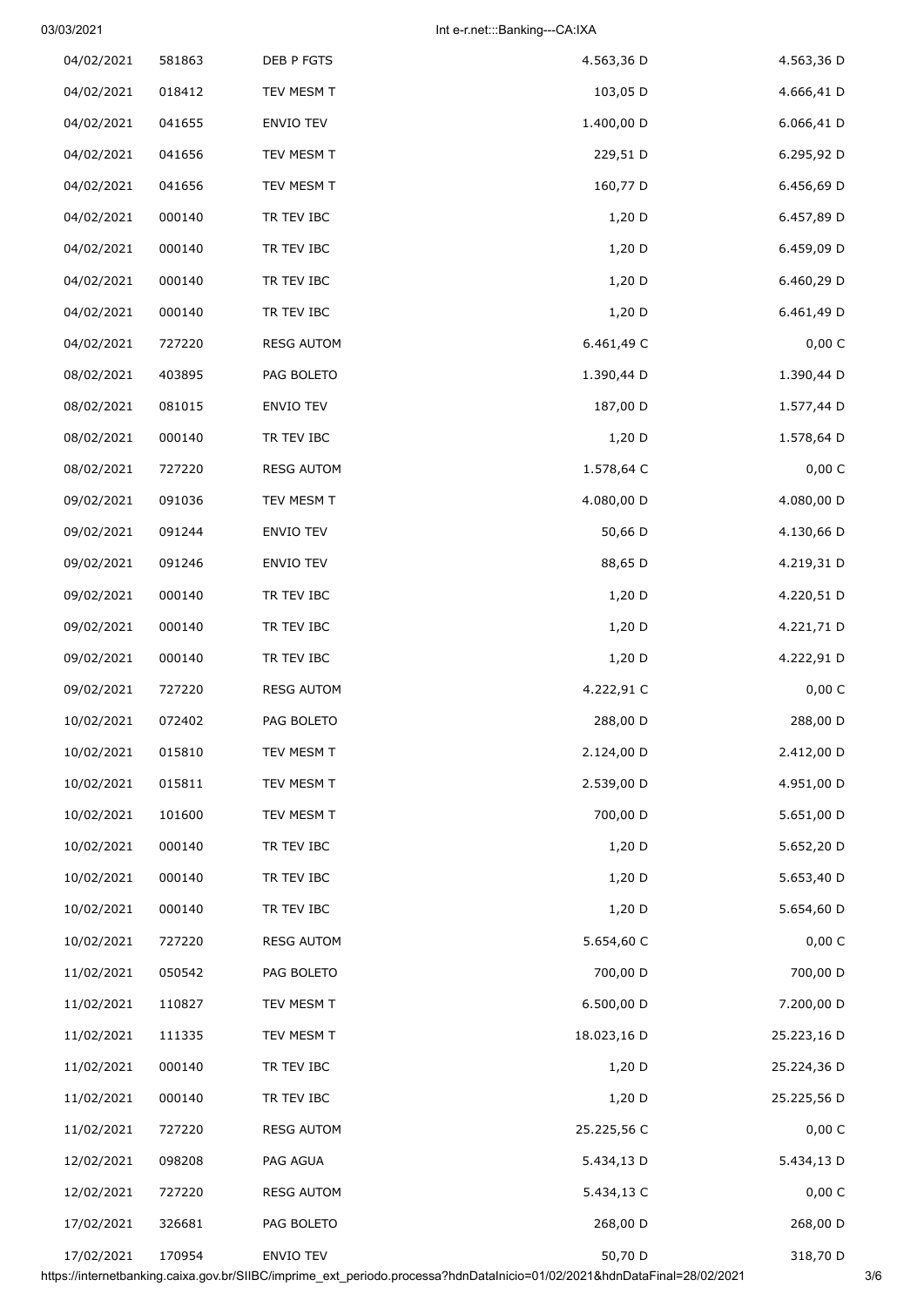# 03/03/2021 Int e-r.net:::Banking---CA:IXA

| 4.563,36 D  | 4.563,36 D  | DEB P FGTS        | 581863 | 04/02/2021 |
|-------------|-------------|-------------------|--------|------------|
| 4.666,41 D  | 103,05 D    | TEV MESM T        | 018412 | 04/02/2021 |
| 6.066,41 D  | 1.400,00 D  | <b>ENVIO TEV</b>  | 041655 | 04/02/2021 |
| 6.295,92 D  | 229,51 D    | TEV MESM T        | 041656 | 04/02/2021 |
| 6.456,69 D  | 160,77 D    | TEV MESM T        | 041656 | 04/02/2021 |
| 6.457,89 D  | 1,20 D      | TR TEV IBC        | 000140 | 04/02/2021 |
| 6.459,09 D  | 1,20 D      | TR TEV IBC        | 000140 | 04/02/2021 |
| 6.460,29 D  | $1,20$ D    | TR TEV IBC        | 000140 | 04/02/2021 |
| 6.461,49 D  | 1,20 D      | TR TEV IBC        | 000140 | 04/02/2021 |
| 0,00 C      | 6.461,49 C  | <b>RESG AUTOM</b> | 727220 | 04/02/2021 |
| 1.390,44 D  | 1.390,44 D  | PAG BOLETO        | 403895 | 08/02/2021 |
| 1.577,44 D  | 187,00 D    | ENVIO TEV         | 081015 | 08/02/2021 |
| 1.578,64 D  | 1,20 D      | TR TEV IBC        | 000140 | 08/02/2021 |
| 0,00 C      | 1.578,64 C  | <b>RESG AUTOM</b> | 727220 | 08/02/2021 |
| 4.080,00 D  | 4.080,00 D  | TEV MESM T        | 091036 | 09/02/2021 |
| 4.130,66 D  | 50,66 D     | ENVIO TEV         | 091244 | 09/02/2021 |
| 4.219,31 D  | 88,65 D     | ENVIO TEV         | 091246 | 09/02/2021 |
| 4.220,51 D  | $1,20$ D    | TR TEV IBC        | 000140 | 09/02/2021 |
| 4.221,71 D  | $1,20$ D    | TR TEV IBC        | 000140 | 09/02/2021 |
| 4.222,91 D  | 1,20 D      | TR TEV IBC        | 000140 | 09/02/2021 |
| 0,00 C      | 4.222,91 C  | <b>RESG AUTOM</b> | 727220 | 09/02/2021 |
| 288,00 D    | 288,00 D    | PAG BOLETO        | 072402 | 10/02/2021 |
| 2.412,00 D  | 2.124,00 D  | TEV MESM T        | 015810 | 10/02/2021 |
| 4.951,00 D  | 2.539,00 D  | TEV MESM T        | 015811 | 10/02/2021 |
| 5.651,00 D  | 700,00 D    | TEV MESM T        | 101600 | 10/02/2021 |
| 5.652,20 D  | $1,20$ D    | TR TEV IBC        | 000140 | 10/02/2021 |
| 5.653,40 D  | $1,20$ D    | TR TEV IBC        | 000140 | 10/02/2021 |
| 5.654,60 D  | $1,20$ D    | TR TEV IBC        | 000140 | 10/02/2021 |
| 0,00 C      | 5.654,60 C  | <b>RESG AUTOM</b> | 727220 | 10/02/2021 |
| 700,00 D    | 700,00 D    | PAG BOLETO        | 050542 | 11/02/2021 |
| 7.200,00 D  | 6.500,00 D  | TEV MESM T        | 110827 | 11/02/2021 |
| 25.223,16 D | 18.023,16 D | TEV MESM T        | 111335 | 11/02/2021 |
| 25.224,36 D | $1,20$ D    | TR TEV IBC        | 000140 | 11/02/2021 |
| 25.225,56 D | $1,20$ D    | TR TEV IBC        | 000140 | 11/02/2021 |
| 0,00 C      | 25.225,56 C | <b>RESG AUTOM</b> | 727220 | 11/02/2021 |
| 5.434,13 D  | 5.434,13 D  | PAG AGUA          | 098208 | 12/02/2021 |
| 0,00 C      | 5.434,13 C  | <b>RESG AUTOM</b> | 727220 | 12/02/2021 |
| 268,00 D    | 268,00 D    | PAG BOLETO        | 326681 | 17/02/2021 |
| 318,70 D    | 50,70 D     | ENVIO TEV         | 170954 | 17/02/2021 |

https://internetbanking.caixa.gov.br/SIIBC/imprime\_ext\_periodo.processa?hdnDataInicio=01/02/2021&hdnDataFinal=28/02/2021 3/6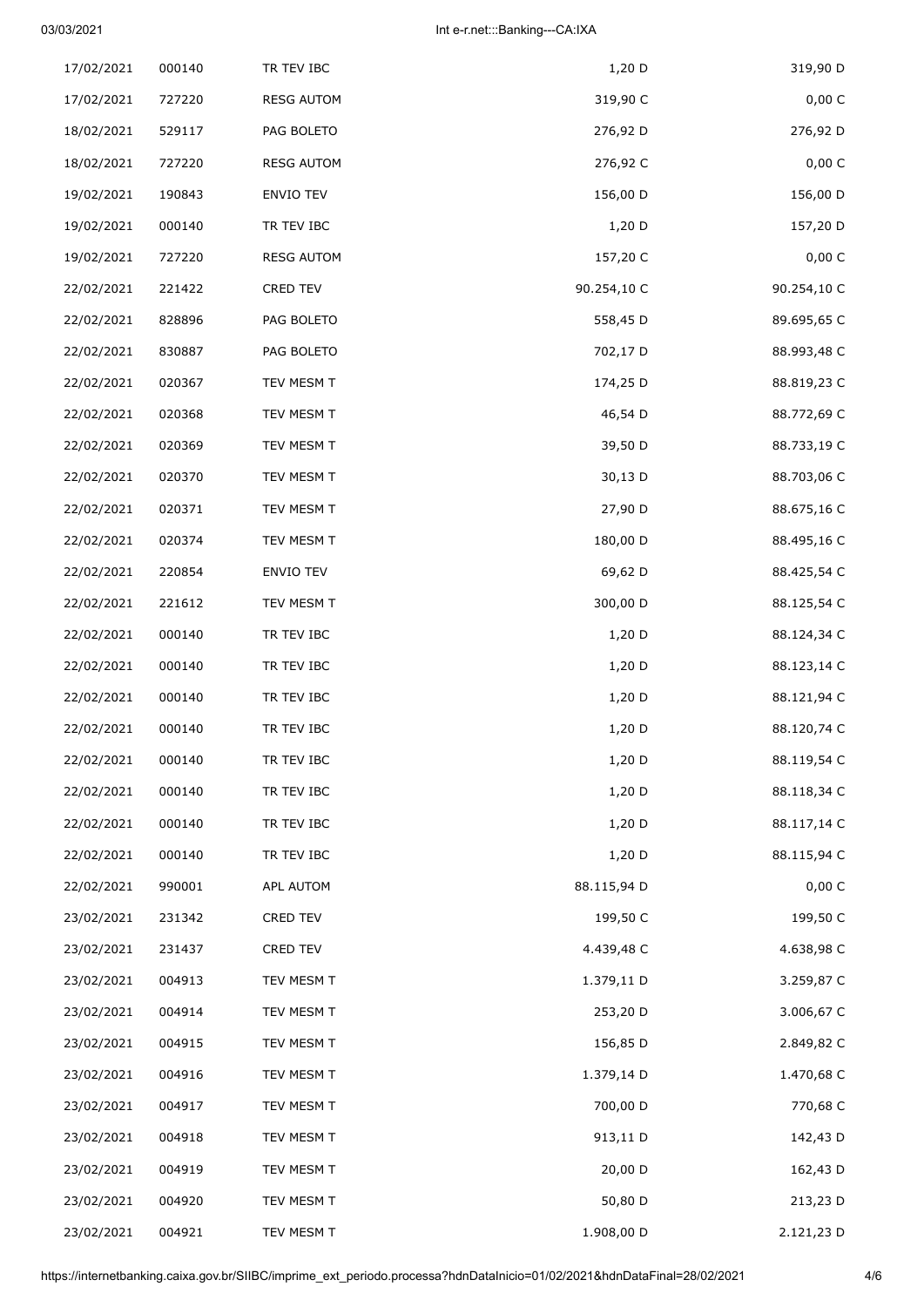# 03/03/2021 Int e-r.net:::Banking---CA:IXA

| 319,90 D    | 1,20 D      | TR TEV IBC        | 000140 | 17/02/2021 |
|-------------|-------------|-------------------|--------|------------|
| 0,00 C      | 319,90 C    | <b>RESG AUTOM</b> | 727220 | 17/02/2021 |
| 276,92 D    | 276,92 D    | PAG BOLETO        | 529117 | 18/02/2021 |
| 0,00C       | 276,92 C    | <b>RESG AUTOM</b> | 727220 | 18/02/2021 |
| 156,00 D    | 156,00 D    | ENVIO TEV         | 190843 | 19/02/2021 |
| 157,20 D    | 1,20 D      | TR TEV IBC        | 000140 | 19/02/2021 |
| 0,00 C      | 157,20 C    | <b>RESG AUTOM</b> | 727220 | 19/02/2021 |
| 90.254,10 C | 90.254,10 C | CRED TEV          | 221422 | 22/02/2021 |
| 89.695,65 C | 558,45 D    | PAG BOLETO        | 828896 | 22/02/2021 |
| 88.993,48 C | 702,17 D    | PAG BOLETO        | 830887 | 22/02/2021 |
| 88.819,23 C | 174,25 D    | TEV MESM T        | 020367 | 22/02/2021 |
| 88.772,69 C | 46,54 D     | TEV MESM T        | 020368 | 22/02/2021 |
| 88.733,19 C | 39,50 D     | TEV MESM T        | 020369 | 22/02/2021 |
| 88.703,06 C | 30,13 D     | TEV MESM T        | 020370 | 22/02/2021 |
| 88.675,16 C | 27,90 D     | TEV MESM T        | 020371 | 22/02/2021 |
| 88.495,16 C | 180,00 D    | TEV MESM T        | 020374 | 22/02/2021 |
| 88.425,54 C | 69,62 D     | ENVIO TEV         | 220854 | 22/02/2021 |
| 88.125,54 C | 300,00 D    | TEV MESM T        | 221612 | 22/02/2021 |
| 88.124,34 C | 1,20 D      | TR TEV IBC        | 000140 | 22/02/2021 |
| 88.123,14 C | 1,20 D      | TR TEV IBC        | 000140 | 22/02/2021 |
| 88.121,94 C | $1,20$ D    | TR TEV IBC        | 000140 | 22/02/2021 |
| 88.120,74 C | 1,20 D      | TR TEV IBC        | 000140 | 22/02/2021 |
| 88.119,54 C | 1,20 D      | TR TEV IBC        | 000140 | 22/02/2021 |
| 88.118,34 C | 1,20 D      | TR TEV IBC        | 000140 | 22/02/2021 |
| 88.117,14 C | 1,20 D      | TR TEV IBC        | 000140 | 22/02/2021 |
| 88.115,94 C | 1,20 D      | TR TEV IBC        | 000140 | 22/02/2021 |
| 0,00 C      | 88.115,94 D | APL AUTOM         | 990001 | 22/02/2021 |
| 199,50 C    | 199,50 C    | CRED TEV          | 231342 | 23/02/2021 |
| 4.638,98 C  | 4.439,48 C  | CRED TEV          | 231437 | 23/02/2021 |
| 3.259,87 C  | 1.379,11 D  | TEV MESM T        | 004913 | 23/02/2021 |
| 3.006,67 C  | 253,20 D    | TEV MESM T        | 004914 | 23/02/2021 |
| 2.849,82 C  | 156,85 D    | TEV MESM T        | 004915 | 23/02/2021 |
| 1.470,68 C  | 1.379,14 D  | TEV MESM T        | 004916 | 23/02/2021 |
| 770,68 C    | 700,00 D    | TEV MESM T        | 004917 | 23/02/2021 |
| 142,43 D    | 913,11 D    | TEV MESM T        | 004918 | 23/02/2021 |
| 162,43 D    | 20,00 D     | TEV MESM T        | 004919 | 23/02/2021 |
| 213,23 D    | 50,80 D     | TEV MESM T        | 004920 | 23/02/2021 |
| 2.121,23 D  | 1.908,00 D  | TEV MESM T        | 004921 | 23/02/2021 |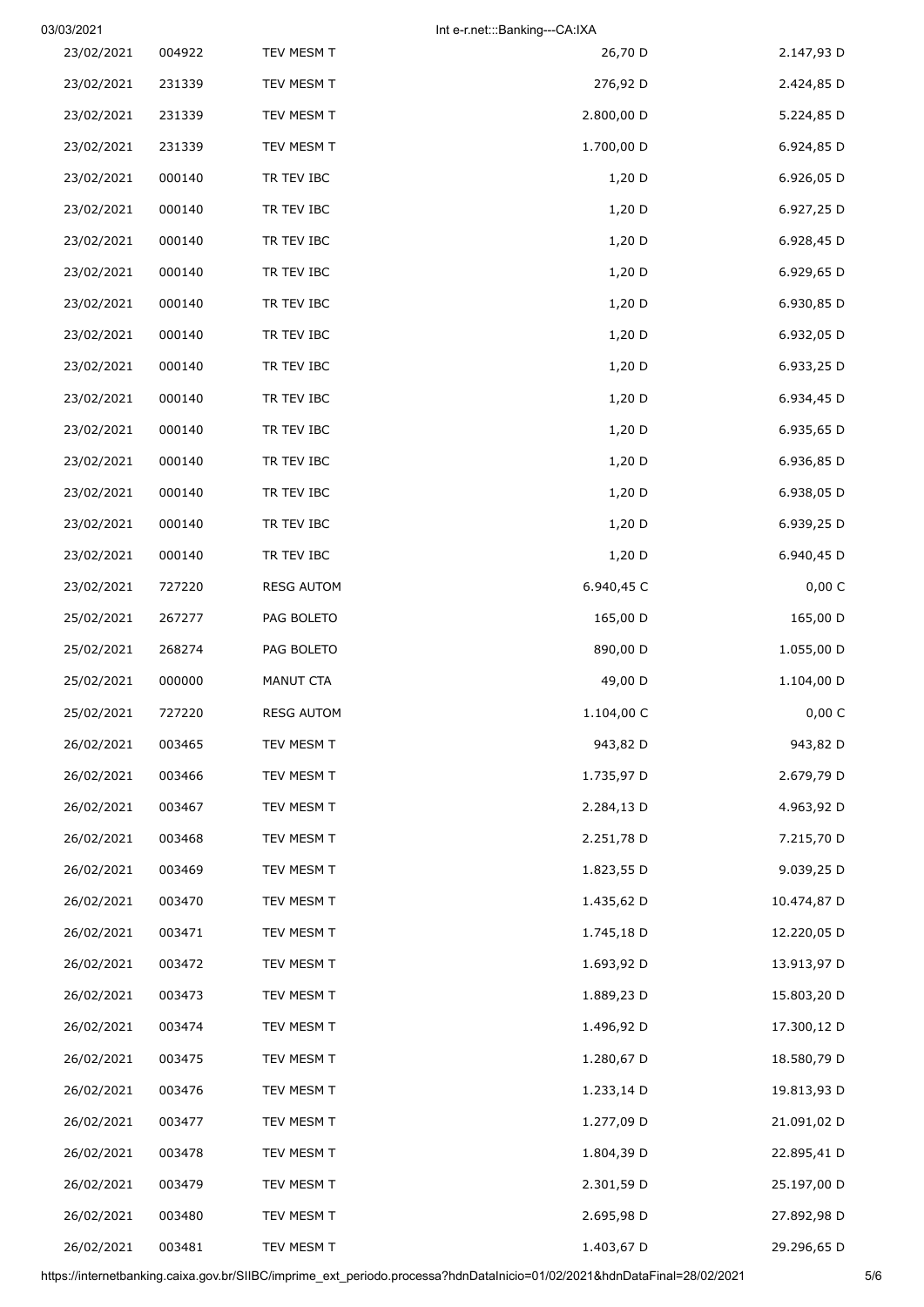| 03/03/2021 |        |                   | Int e-r.net:::Banking---CA:IXA |             |
|------------|--------|-------------------|--------------------------------|-------------|
| 23/02/2021 | 004922 | TEV MESM T        | 26,70 D                        | 2.147,93 D  |
| 23/02/2021 | 231339 | TEV MESM T        | 276,92 D                       | 2.424,85 D  |
| 23/02/2021 | 231339 | TEV MESM T        | 2.800,00 D                     | 5.224,85 D  |
| 23/02/2021 | 231339 | TEV MESM T        | 1.700,00 D                     | 6.924,85 D  |
| 23/02/2021 | 000140 | TR TEV IBC        | $1,20$ D                       | 6.926,05 D  |
| 23/02/2021 | 000140 | TR TEV IBC        | $1,20$ D                       | 6.927,25 D  |
| 23/02/2021 | 000140 | TR TEV IBC        | $1,20$ D                       | 6.928,45 D  |
| 23/02/2021 | 000140 | TR TEV IBC        | 1,20 D                         | 6.929,65 D  |
| 23/02/2021 | 000140 | TR TEV IBC        | $1,20$ D                       | 6.930,85 D  |
| 23/02/2021 | 000140 | TR TEV IBC        | 1,20 D                         | 6.932,05 D  |
| 23/02/2021 | 000140 | TR TEV IBC        | $1,20$ D                       | 6.933,25 D  |
| 23/02/2021 | 000140 | TR TEV IBC        | 1,20 D                         | 6.934,45 D  |
| 23/02/2021 | 000140 | TR TEV IBC        | $1,20$ D                       | 6.935,65 D  |
| 23/02/2021 | 000140 | TR TEV IBC        | 1,20 D                         | 6.936,85 D  |
| 23/02/2021 | 000140 | TR TEV IBC        | $1,20$ D                       | 6.938,05 D  |
| 23/02/2021 | 000140 | TR TEV IBC        | $1,20$ D                       | 6.939,25 D  |
| 23/02/2021 | 000140 | TR TEV IBC        | 1,20 D                         | 6.940,45 D  |
| 23/02/2021 | 727220 | <b>RESG AUTOM</b> | 6.940,45 C                     | 0,00 C      |
| 25/02/2021 | 267277 | PAG BOLETO        | 165,00 D                       | 165,00 D    |
| 25/02/2021 | 268274 | PAG BOLETO        | 890,00 D                       | 1.055,00 D  |
| 25/02/2021 | 000000 | MANUT CTA         | 49,00 D                        | 1.104,00 D  |
| 25/02/2021 | 727220 | <b>RESG AUTOM</b> | 1.104,00 C                     | 0,00 C      |
| 26/02/2021 | 003465 | TEV MESM T        | 943,82 D                       | 943,82 D    |
| 26/02/2021 | 003466 | TEV MESM T        | 1.735,97 D                     | 2.679,79 D  |
| 26/02/2021 | 003467 | TEV MESM T        | 2.284,13 D                     | 4.963,92 D  |
| 26/02/2021 | 003468 | TEV MESM T        | 2.251,78 D                     | 7.215,70 D  |
| 26/02/2021 | 003469 | TEV MESM T        | 1.823,55 D                     | 9.039,25 D  |
| 26/02/2021 | 003470 | TEV MESM T        | 1.435,62 D                     | 10.474,87 D |
| 26/02/2021 | 003471 | TEV MESM T        | 1.745,18 D                     | 12.220,05 D |
| 26/02/2021 | 003472 | TEV MESM T        | 1.693,92 D                     | 13.913,97 D |
| 26/02/2021 | 003473 | TEV MESM T        | 1.889,23 D                     | 15.803,20 D |
| 26/02/2021 | 003474 | TEV MESM T        | 1.496,92 D                     | 17.300,12 D |
| 26/02/2021 | 003475 | TEV MESM T        | 1.280,67 D                     | 18.580,79 D |
| 26/02/2021 | 003476 | TEV MESM T        | 1.233,14 D                     | 19.813,93 D |
| 26/02/2021 | 003477 | TEV MESM T        | 1.277,09 D                     | 21.091,02 D |
| 26/02/2021 | 003478 | TEV MESM T        | 1.804,39 D                     | 22.895,41 D |
| 26/02/2021 | 003479 | TEV MESM T        | 2.301,59 D                     | 25.197,00 D |
| 26/02/2021 | 003480 | TEV MESM T        | 2.695,98 D                     | 27.892,98 D |
| 26/02/2021 | 003481 | TEV MESM T        | 1.403,67 D                     | 29.296,65 D |

https://internetbanking.caixa.gov.br/SIIBC/imprime\_ext\_periodo.processa?hdnDataInicio=01/02/2021&hdnDataFinal=28/02/2021 5/6